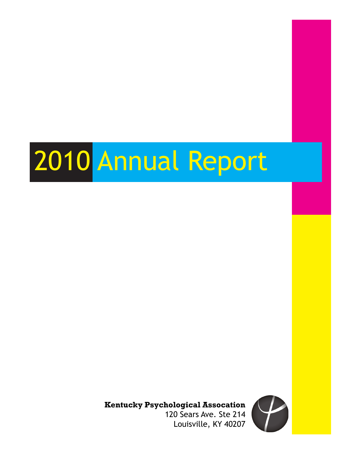# 2010 Annual Report

**Kentucky Psychological Assocation**

120 Sears Ave. Ste 214 Louisville, KY 40207

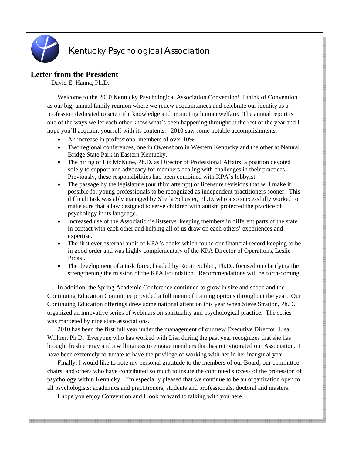

# Kentucky Psychological Association

# **Letter from the President**

David E. Hanna, Ph.D.

Welcome to the 2010 Kentucky Psychological Association Convention! I think of Convention as our big, annual family reunion where we renew acquaintances and celebrate our identity as a profession dedicated to scientific knowledge and promoting human welfare. The annual report is one of the ways we let each other know what's been happening throughout the rest of the year and I hope you'll acquaint yourself with its contents. 2010 saw some notable accomplishments:

- An increase in professional members of over 10%.
- Two regional conferences, one in Owensboro in Western Kentucky and the other at Natural Bridge State Park in Eastern Kentucky.
- The hiring of Liz McKune, Ph.D. as Director of Professional Affairs, a position devoted solely to support and advocacy for members dealing with challenges in their practices. Previously, these responsibilities had been combined with KPA's lobbyist.
- The passage by the legislature (our third attempt) of licensure revisions that will make it possible for young professionals to be recognized as independent practitioners sooner. This difficult task was ably managed by Sheila Schuster, Ph.D. who also successfully worked to make sure that a law designed to serve children with autism protected the practice of psychology in its language.
- Increased use of the Association's listservs keeping members in different parts of the state in contact with each other and helping all of us draw on each others' experiences and expertise.
- The first ever external audit of KPA's books which found our financial record keeping to be in good order and was highly complementary of the KPA Director of Operations, Leslie Proasi.
- The development of a task force, headed by Robin Sublett, Ph.D., focused on clarifying the strengthening the mission of the KPA Foundation. Recommendations will be forth-coming.

In addition, the Spring Academic Conference continued to grow in size and scope and the Continuing Education Committee provided a full menu of training options throughout the year. Our Continuing Education offerings drew some national attention this year when Steve Stratton, Ph.D. organized an innovative series of webinars on spirituality and psychological practice. The series was marketed by nine state associations.

2010 has been the first full year under the management of our new Executive Director, Lisa Willner, Ph.D. Everyone who has worked with Lisa during the past year recognizes that she has brought fresh energy and a willingness to engage members that has reinvigorated our Association. I have been extremely fortunate to have the privilege of working with her in her inaugural year.

Finally, I would like to note my personal gratitude to the members of our Board, our committee chairs, and others who have contributed so much to insure the continued success of the profession of psychology within Kentucky. I'm especially pleased that we continue to be an organization open to all psychologists: academics and practitioners, students and professionals, doctoral and masters.

a a bhail an t-aisteach an t-aisteach an t-aisteach an t-aisteach an t-aisteach an t-aisteach an t-aisteach an

I hope you enjoy Convention and I look forward to talking with you here.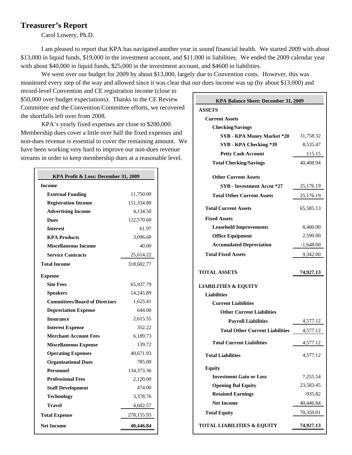# **Treasurer's Report**

Carol Lowery, Ph.D.

I am pleased to report that KPA has navigated another year in sound financial health. We started 2009 with about \$13,000 in liquid funds, \$19,000 in the investment account, and \$11,000 in liabilities. We ended the 2009 calendar year with about \$40,000 in liquid funds, \$25,000 in the investment account, and \$4600 in liabilities.

We went over our budget for 2009 by about \$13,000, largely due to Convention costs. However, this was monitored every step of the way and allowed since it was clear that our dues income was up (by about \$13,000) and

record-level Convention and CE registration income (close to \$50,000 over budget expectations). Thanks to the CE Review Committee and the Convention Committee efforts, we recovered the shortfalls left over from 2008.

KPA's yearly fixed expenses are close to \$200,000. Membership dues cover a little over half the fixed expenses and non-dues revenue is essential to cover the remaining amount. We have been working very hard to improve our non-dues revenue streams in order to keep membership dues at a reasonable level.

| KPA Profit & Loss: December 31, 2009 |            |  |
|--------------------------------------|------------|--|
| <b>Income</b>                        |            |  |
| <b>External Funding</b>              | 11,750.00  |  |
| <b>Registration Income</b>           | 151,334.80 |  |
| <b>Advertising Income</b>            | 4,134.50   |  |
| <b>Dues</b>                          | 122,570.60 |  |
| <b>Interest</b>                      | 61.97      |  |
| <b>KPA Products</b>                  | 3,096.68   |  |
| <b>Miscellaneous Income</b>          | 40.00      |  |
| <b>Service Contracts</b>             | 25,614.22  |  |
| <b>Total Income</b>                  | 318,602.77 |  |
| <b>Expense</b>                       |            |  |
| <b>Site Fees</b>                     | 65,937.79  |  |
| <b>Speakers</b>                      | 14,245.89  |  |
| <b>Committees/Board of Directors</b> | 1,625.41   |  |
| <b>Depreciation Expense</b>          | 644.00     |  |
| <b>Insurance</b>                     | 2,615.55   |  |
| <b>Interest Expense</b>              | 352.22     |  |
| <b>Merchant Account Fees</b>         | 6,189.73   |  |
| <b>Miscellaneous Expense</b>         | 139.72     |  |
| <b>Operating Expenses</b>            | 40,671.93  |  |
| <b>Organizational Dues</b>           | 785.00     |  |
| <b>Personnel</b>                     | 134,373.36 |  |
| <b>Professional Fees</b>             | 2,120.00   |  |
| <b>Staff Development</b>             | 474.00     |  |
| <b>Technology</b>                    | 3,378.76   |  |
| <b>Travel</b>                        | 4,602.57   |  |
| <b>Total Expense</b>                 | 278,155.93 |  |
| <b>Net Income</b>                    | 40,446.84  |  |

| KPA Balance Sheet: December 31, 2009   |             |  |
|----------------------------------------|-------------|--|
| <b>ASSETS</b>                          |             |  |
| <b>Current Assets</b>                  |             |  |
| <b>Checking/Savings</b>                |             |  |
| <b>SYB - KPA Money Market *20</b>      | 31,758.32   |  |
| SYB - KPA Checking *39                 | 8,535.47    |  |
| <b>Petty Cash Account</b>              | 115.15      |  |
| <b>Total Checking/Savings</b>          | 40,408.94   |  |
| <b>Other Current Assets</b>            |             |  |
| SYB - Investment Accnt *27             | 25,176.19   |  |
| <b>Total Other Current Assets</b>      | 25,176.19   |  |
|                                        |             |  |
| <b>Total Current Assets</b>            | 65,585.13   |  |
| <b>Fixed Assets</b>                    |             |  |
| <b>Leasehold Improvements</b>          | 8,400.00    |  |
| <b>Office Equipment</b>                | 2,590.00    |  |
| <b>Accumulated Depreciation</b>        | $-1,648.00$ |  |
| <b>Total Fixed Assets</b>              | 9,342.00    |  |
|                                        |             |  |
| <b>TOTAL ASSETS</b>                    | 74,927.13   |  |
| <b>LIABILITIES &amp; EQUITY</b>        |             |  |
| <b>Liabilities</b>                     |             |  |
| <b>Current Liabilities</b>             |             |  |
| <b>Other Current Liabilities</b>       |             |  |
| <b>Payroll Liabilities</b>             | 4,577.12    |  |
| <b>Total Other Current Liabilities</b> | 4,577.12    |  |
| <b>Total Current Liabilities</b>       | 4,577.12    |  |
| <b>Total Liabilities</b>               | 4,577.12    |  |
| <b>Equity</b>                          |             |  |
| <b>Investment Gain or Loss</b>         | 7,255.54    |  |
| <b>Opening Bal Equity</b>              | 23,583.45   |  |
| <b>Retained Earnings</b>               | $-935.82$   |  |
| <b>Net Income</b>                      | 40,446.84   |  |
| <b>Total Equity</b>                    | 70,350.01   |  |
| <b>TOTAL LIABILITIES &amp; EQUITY</b>  | 74,927.13   |  |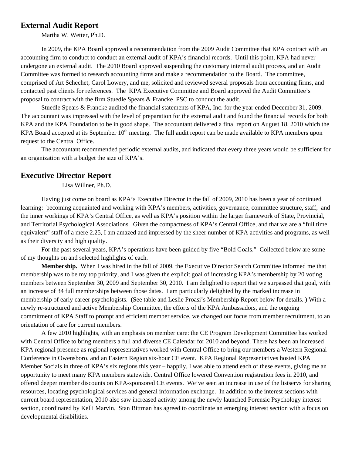# **External Audit Report**

Martha W. Wetter, Ph.D.

 In 2009, the KPA Board approved a recommendation from the 2009 Audit Committee that KPA contract with an accounting firm to conduct to conduct an external audit of KPA's financial records. Until this point, KPA had never undergone an external audit. The 2010 Board approved suspending the customary internal audit process, and an Audit Committee was formed to research accounting firms and make a recommendation to the Board. The committee, comprised of Art Schechet, Carol Lowery, and me, solicited and reviewed several proposals from accounting firms, and contacted past clients for references. The KPA Executive Committee and Board approved the Audit Committee's proposal to contract with the firm Stuedle Spears & Francke PSC to conduct the audit.

 Stuedle Spears & Francke audited the financial statements of KPA, Inc. for the year ended December 31, 2009. The accountant was impressed with the level of preparation for the external audit and found the financial records for both KPA and the KPA Foundation to be in good shape. The accountant delivered a final report on August 18, 2010 which the KPA Board accepted at its September  $10<sup>th</sup>$  meeting. The full audit report can be made available to KPA members upon request to the Central Office.

 The accountant recommended periodic external audits, and indicated that every three years would be sufficient for an organization with a budget the size of KPA's.

# **Executive Director Report**

Lisa Willner, Ph.D.

Having just come on board as KPA's Executive Director in the fall of 2009, 2010 has been a year of continued learning: becoming acquainted and working with KPA's members, activities, governance, committee structure, staff, and the inner workings of KPA's Central Office, as well as KPA's position within the larger framework of State, Provincial, and Territorial Psychological Associations. Given the compactness of KPA's Central Office, and that we are a "full time equivalent" staff of a mere 2.25, I am amazed and impressed by the sheer number of KPA activities and programs, as well as their diversity and high quality.

For the past several years, KPA's operations have been guided by five "Bold Goals." Collected below are some of my thoughts on and selected highlights of each.

**Membership.** When I was hired in the fall of 2009, the Executive Director Search Committee informed me that membership was to be my top priority, and I was given the explicit goal of increasing KPA's membership by 20 voting members between September 30, 2009 and September 30, 2010. I am delighted to report that we surpassed that goal, with an increase of 34 full memberships between those dates. I am particularly delighted by the marked increase in membership of early career psychologists. (See table and Leslie Proasi's Membership Report below for details. ) With a newly re-structured and active Membership Committee, the efforts of the KPA Ambassadors, and the ongoing commitment of KPA Staff to prompt and efficient member service, we changed our focus from member recruitment, to an orientation of care for current members.

A few 2010 highlights, with an emphasis on member care: the CE Program Development Committee has worked with Central Office to bring members a full and diverse CE Calendar for 2010 and beyond. There has been an increased KPA regional presence as regional representatives worked with Central Office to bring our members a Western Regional Conference in Owensboro, and an Eastern Region six-hour CE event. KPA Regional Representatives hosted KPA Member Socials in three of KPA's six regions this year – happily, I was able to attend each of these events, giving me an opportunity to meet many KPA members statewide. Central Office lowered Convention registration fees in 2010, and offered deeper member discounts on KPA-sponsored CE events. We've seen an increase in use of the listservs for sharing resources, locating psychological services and general information exchange. In addition to the interest sections with current board representation, 2010 also saw increased activity among the newly launched Forensic Psychology interest section, coordinated by Kelli Marvin. Stan Bittman has agreed to coordinate an emerging interest section with a focus on developmental disabilities.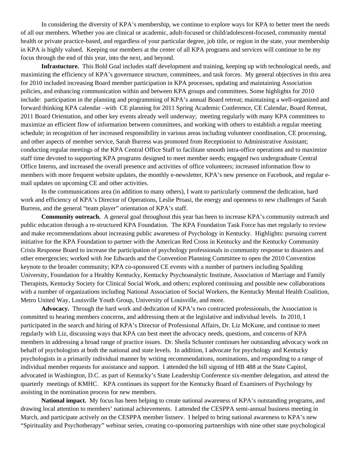In considering the diversity of KPA's membership, we continue to explore ways for KPA to better meet the needs of all our members. Whether you are clinical or academic, adult-focused or child/adolescent-focused, community mental health or private practice-based, and regardless of your particular degree, job title, or region in the state, your membership in KPA is highly valued. Keeping our members at the center of all KPA programs and services will continue to be my focus through the end of this year, into the next, and beyond.

**Infrastucture.** This Bold Goal includes staff development and training, keeping up with technological needs, and maximizing the efficiency of KPA's governance structure, committees, and task forces. My general objectives in this area for 2010 included increasing Board member participation in KPA processes, updating and maintaining Association policies, and enhancing communication within and between KPA groups and committees. Some highlights for 2010 include: participation in the planning and programming of KPA's annual Board retreat; maintaining a well-organized and forward thinking KPA calendar –with CE planning for 2011 Spring Academic Conference, CE Calendar, Board Retreat, 2011 Board Orientation, and other key events already well underway; meeting regularly with many KPA committees to maximize an efficient flow of information between committees, and working with others to establish a regular meeting schedule; in recognition of her increased responsibility in various areas including volunteer coordination, CE processing, and other aspects of member service, Sarah Burress was promoted from Receptionist to Administrative Assistant; conducting regular meetings of the KPA Central Office Staff to facilitate smooth intra-office operations and to maximize staff time devoted to supporting KPA programs designed to meet member needs; engaged two undergraduate Central Office Interns, and increased the overall presence and activities of office volunteers; increased information flow to members with more frequent website updates, the monthly e-newsletter, KPA's new presence on Facebook, and regular email updates on upcoming CE and other activities.

In the communications area (in addition to many others), I want to particularly commend the dedication, hard work and efficiency of KPA's Director of Operations, Leslie Proasi, the energy and openness to new challenges of Sarah Burress, and the general "team player" orientation of KPA's staff.

**Community outreach.** A general goal throughout this year has been to increase KPA's community outreach and public education through a re-structured KPA Foundation.The KPA Foundation Task Force has met regularly to review and make recommendations about increasing public awareness of Psychology in Kentucky. Highlights: pursuing current initiative for the KPA Foundation to partner with the American Red Cross in Kentucky and the Kentucky Community Crisis Response Board to increase the participation of psychology professionals in community response to disasters and other emergencies; worked with Joe Edwards and the Convention Planning Committee to open the 2010 Convention keynote to the broader community; KPA co-sponsored CE events with a number of partners including Spalding University, Foundation for a Healthy Kentucky, Kentucky Psychoanalytic Institute, Association of Marriage and Family Therapists, Kentucky Society for Clinical Social Work, and others; explored continuing and possible new collaborations with a number of organizations including National Association of Social Workers, the Kentucky Mental Health Coalition, Metro United Way, Louisville Youth Group, University of Louisville, and more.

**Advocacy.** Through the hard work and dedication of KPA's two contracted professionals, the Association is committed to hearing members concerns, and addressing them at the legislative and individual levels.In 2010, I participated in the search and hiring of KPA's Director of Professional Affairs, Dr. Liz McKune, and continue to meet regularly with Liz, discussing ways that KPA can best meet the advocacy needs, questions, and concerns of KPA members in addressing a broad range of practice issues. Dr. Sheila Schuster continues her outstanding advocacy work on behalf of psychologists at both the national and state levels. In addition, I advocate for psychology and Kentucky psychologists in a primarily individual manner by writing recommendations, nominations, and responding to a range of individual member requests for assistance and support. I attended the bill signing of HB 488 at the State Capitol, advocated in Washington, D.C. as part of Kentucky's State Leadership Conference six-member delegation, and attend the quarterly meetings of KMHC. KPA continues its support for the Kentucky Board of Examiners of Psychology by assisting in the nomination process for new members.

**National impact.** My focus has been helping to create national awareness of KPA's outstanding programs, and drawing local attention to members' national achievements. I attended the CESPPA semi-annual business meeting in March, and participate actively on the CESPPA member listserv. I helped to bring national awareness to KPA's new "Spirituality and Psychotherapy" webinar series, creating co-sponsoring partnerships with nine other state psychological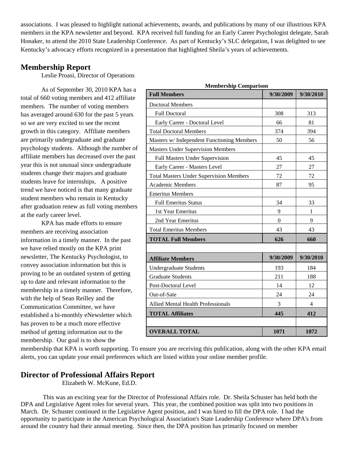associations. I was pleased to highlight national achievements, awards, and publications by many of our illustrious KPA members in the KPA newsletter and beyond. KPA received full funding for an Early Career Psychologist delegate, Sarah Honaker, to attend the 2010 State Leadership Conference. As part of Kentucky's SLC delegation, I was delighted to see Kentucky's advocacy efforts recognized in a presentation that highlighted Sheila's years of achievements.

# **Membership Report**

Leslie Proasi, Director of Operations

As of September 30, 2010 KPA has a total of 660 voting members and 412 affiliate members. The number of voting members has averaged around 630 for the past 5 years so we are very excited to see the recent growth in this category. Affiliate members are primarily undergraduate and graduate psychology students. Although the number of affiliate members has decreased over the past year this is not unusual since undergraduate students change their majors and graduate students leave for internships. A positive trend we have noticed is that many graduate student members who remain in Kentucky after graduation renew as full voting members at the early career level.

KPA has made efforts to ensure members are receiving association information in a timely manner. In the past we have relied mostly on the KPA print newsletter, The Kentucky Psychologist, to convey association information but this is proving to be an outdated system of getting up to date and relevant information to the membership in a timely manner. Therefore, with the help of Sean Reilley and the Communication Committee, we have established a bi-monthly eNewsletter which has proven to be a much more effective method of getting information out to the membership. Our goal is to show the

| wrymoeramp comparison<br><b>Full Members</b>   | 9/30/2009 | 9/30/2010      |
|------------------------------------------------|-----------|----------------|
| <b>Doctoral Members</b>                        |           |                |
| <b>Full Doctoral</b>                           | 308       | 313            |
| Early Career - Doctoral Level                  | 66        | 81             |
| <b>Total Doctoral Members</b>                  | 374       | 394            |
| Masters w/ Independent Functioning Members     | 50        | 56             |
| <b>Masters Under Supervision Members</b>       |           |                |
| Full Masters Under Supervision                 | 45        | 45             |
| Early Career - Masters Level                   | 27        | 27             |
| <b>Total Masters Under Supervision Members</b> | 72        | 72             |
| <b>Academic Members</b>                        | 87        | 95             |
| <b>Emeritus Members</b>                        |           |                |
| <b>Full Emeritus Status</b>                    | 34        | 33             |
| 1st Year Emeritus                              | 9         | 1              |
| 2nd Year Emeritus                              | $\theta$  | 9              |
| <b>Total Emeritus Members</b>                  | 43        | 43             |
| <b>TOTAL Full Members</b>                      | 626       | 660            |
|                                                |           |                |
| <b>Affiliate Members</b>                       | 9/30/2009 | 9/30/2010      |
| Undergraduate Students                         | 193       | 184            |
| <b>Graduate Students</b>                       | 211       | 188            |
| Post-Doctoral Level                            | 14        | 12             |
| Out-of-Sate                                    | 24        | 24             |
| <b>Allied Mental Health Professionals</b>      | 3         | $\overline{4}$ |
| <b>TOTAL Affiliates</b>                        | 445       | 412            |
|                                                |           |                |
| <b>OVERALL TOTAL</b>                           | 1071      | 1072           |

**Membership Comparison** 

membership that KPA is worth supporting. To ensure you are receiving this publication, along with the other KPA email alerts, you can update your email preferences which are listed within your online member profile.

# **Director of Professional Affairs Report**

Elizabeth W. McKune, Ed.D.

 This was an exciting year for the Director of Professional Affairs role. Dr. Sheila Schuster has held both the DPA and Legislative Agent roles for several years. This year, the combined position was split into two positions in March. Dr. Schuster continued in the Legislative Agent position, and I was hired to fill the DPA role. I had the opportunity to participate in the American Psychological Association's State Leadership Conference where DPA's from around the country had their annual meeting. Since then, the DPA position has primarily focused on member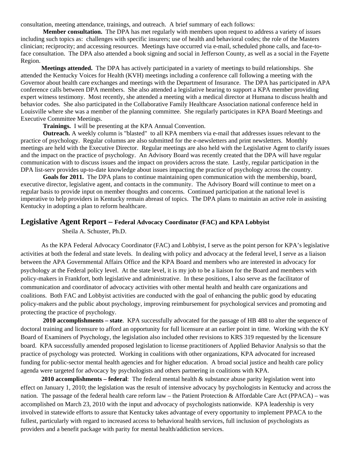consultation, meeting attendance, trainings, and outreach. A brief summary of each follows:

 **Member consultation.** The DPA has met regularly with members upon request to address a variety of issues including such topics as: challenges with specific insurers; use of health and behavioral codes; the role of the Masters clinician; reciprocity; and accessing resources. Meetings have occurred via e-mail, scheduled phone calls, and face-toface consultation. The DPA also attended a book signing and social in Jefferson County, as well as a social in the Fayette Region.

**Meetings attended.** The DPA has actively participated in a variety of meetings to build relationships. She attended the Kentucky Voices for Health (KVH) meetings including a conference call following a meeting with the Governor about health care exchanges and meetings with the Department of Insurance. The DPA has participated in APA conference calls between DPA members. She also attended a legislative hearing to support a KPA member providing expert witness testimony. Most recently, she attended a meeting with a medical director at Humana to discuss health and behavior codes. She also participated in the Collaborative Family Healthcare Association national conference held in Louisville where she was a member of the planning committee. She regularly participates in KPA Board Meetings and Executive Committee Meetings.

 **Trainings.** I will be presenting at the KPA Annual Convention.

 **Outreach.** A weekly column is "blasted" to all KPA members via e-mail that addresses issues relevant to the practice of psychology. Regular columns are also submitted for the e-newsletters and print newsletters. Monthly meetings are held with the Executive Director. Regular meetings are also held with the Legislative Agent to clarify issues and the impact on the practice of psychology. An Advisory Board was recently created that the DPA will have regular communication with to discuss issues and the impact on providers across the state. Lastly, regular participation in the DPA list-serv provides up-to-date knowledge about issues impacting the practice of psychology across the country.

 **Goals for 2011.** The DPA plans to continue maintaining open communication with the membership, board, executive director, legislative agent, and contacts in the community. The Advisory Board will continue to meet on a regular basis to provide input on member thoughts and concerns. Continued participation at the national level is imperative to help providers in Kentucky remain abreast of topics. The DPA plans to maintain an active role in assisting Kentucky in adopting a plan to reform healthcare.

# **Legislative Agent Report – Federal Advocacy Coordinator (FAC) and KPA Lobbyist**

Sheila A. Schuster, Ph.D.

As the KPA Federal Advocacy Coordinator (FAC) and Lobbyist, I serve as the point person for KPA's legislative activities at both the federal and state levels. In dealing with policy and advocacy at the federal level, I serve as a liaison between the APA Governmental Affairs Office and the KPA Board and members who are interested in advocacy for psychology at the Federal policy level. At the state level, it is my job to be a liaison for the Board and members with policy-makers in Frankfort, both legislative and administrative. In these positions, I also serve as the facilitator of communication and coordinator of advocacy activities with other mental health and health care organizations and coalitions. Both FAC and Lobbyist activities are conducted with the goal of enhancing the public good by educating policy-makers and the public about psychology, improving reimbursement for psychological services and promoting and protecting the practice of psychology.

 **2010 accomplishments – state**. KPA successfully advocated for the passage of HB 488 to alter the sequence of doctoral training and licensure to afford an opportunity for full licensure at an earlier point in time. Working with the KY Board of Examiners of Psychology, the legislation also included other revisions to KRS 319 requested by the licensure board. KPA successfully amended proposed legislation to license practitioners of Applied Behavior Analysis so that the practice of psychology was protected. Working in coalitions with other organizations, KPA advocated for increased funding for public-sector mental health agencies and for higher education. A broad social justice and health care policy agenda were targeted for advocacy by psychologists and others partnering in coalitions with KPA.

 **2010 accomplishments – federal**: The federal mental health & substance abuse parity legislation went into effect on January 1, 2010; the legislation was the result of intensive advocacy by psychologists in Kentucky and across the nation. The passage of the federal health care reform law – the Patient Protection & Affordable Care Act (PPACA) – was accomplished on March 23, 2010 with the input and advocacy of psychologists nationwide. KPA leadership is very involved in statewide efforts to assure that Kentucky takes advantage of every opportunity to implement PPACA to the fullest, particularly with regard to increased access to behavioral health services, full inclusion of psychologists as providers and a benefit package with parity for mental health/addiction services.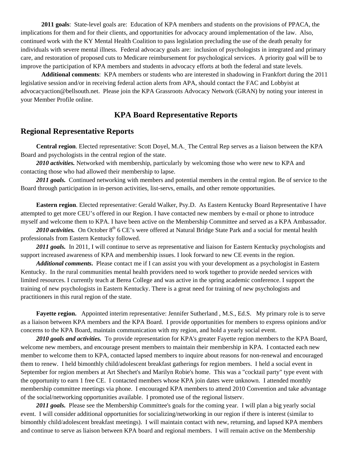**2011 goals**: State-level goals are: Education of KPA members and students on the provisions of PPACA, the implications for them and for their clients, and opportunities for advocacy around implementation of the law. Also, continued work with the KY Mental Health Coalition to pass legislation precluding the use of the death penalty for individuals with severe mental illness. Federal advocacy goals are: inclusion of psychologists in integrated and primary care, and restoration of proposed cuts to Medicare reimbursement for psychological services. A priority goal will be to improve the participation of KPA members and students in advocacy efforts at both the federal and state levels.

 **Additional comments**: KPA members or students who are interested in shadowing in Frankfort during the 2011 legislative session and/or in receiving federal action alerts from APA, should contact the FAC and Lobbyist at advocacyaction@bellsouth.net. Please join the KPA Grassroots Advocacy Network (GRAN) by noting your interest in your Member Profile online.

# **KPA Board Representative Reports**

# **Regional Representative Reports**

**Central region**. Elected representative: Scott Doyel, M.A. The Central Rep serves as a liaison between the KPA Board and psychologists in the central region of the state.

*2010 activities.* Networked with membership, particularly by welcoming those who were new to KPA and contacting those who had allowed their membership to lapse.

2011 goals. Continued networking with members and potential members in the central region. Be of service to the Board through participation in in-person activities, list-servs, emails, and other remote opportunities.

**Eastern region**. Elected representative: Gerald Walker, Psy.D. As Eastern Kentucky Board Representative I have attempted to get more CEU's offered in our Region. I have contacted new members by e-mail or phone to introduce myself and welcome them to KPA. I have been active on the Membership Committee and served as a KPA Ambassador.

2010 activities. On October 8<sup>th</sup> 6 CE's were offered at Natural Bridge State Park and a social for mental health professionals from Eastern Kentucky followed.

2011 goals. In 2011, I will continue to serve as representative and liaison for Eastern Kentucky psychologists and support increased awareness of KPA and membership issues. I look forward to new CE events in the region.

*Additional comments***.** Please contact me if I can assist you with your development as a psychologist in Eastern Kentucky. In the rural communities mental health providers need to work together to provide needed services with limited resources. I currently teach at Berea College and was active in the spring academic conference. I support the training of new psychologists in Eastern Kentucky. There is a great need for training of new psychologists and practitioners in this rural region of the state.

**Fayette region.** Appointed interim representative: Jennifer Sutherland , M.S., Ed.S. My primary role is to serve as a liaison between KPA members and the KPA Board. I provide opportunities for members to express opinions and/or concerns to the KPA Board, maintain communication with my region, and hold a yearly social event.

*2010 goals and activities.* To provide representation for KPA's greater Fayette region members to the KPA Board, welcome new members, and encourage present members to maintain their membership in KPA. I contacted each new member to welcome them to KPA, contacted lapsed members to inquire about reasons for non-renewal and encouraged them to renew. I held bimonthly child/adolescent breakfast gatherings for region members. I held a social event in September for region members at Art Shechet's and Marilyn Robie's home. This was a "cocktail party" type event with the opportunity to earn 1 free CE. I contacted members whose KPA join dates were unknown. I attended monthly membership committee meetings via phone. I encouraged KPA members to attend 2010 Convention and take advantage of the social/networking opportunities available. I promoted use of the regional listserv.

*2011 goals.* Please see the Membership Committee's goals for the coming year. I will plan a big yearly social event. I will consider additional opportunities for socializing/networking in our region if there is interest (similar to bimonthly child/adolescent breakfast meetings). I will maintain contact with new, returning, and lapsed KPA members and continue to serve as liaison between KPA board and regional members. I will remain active on the Membership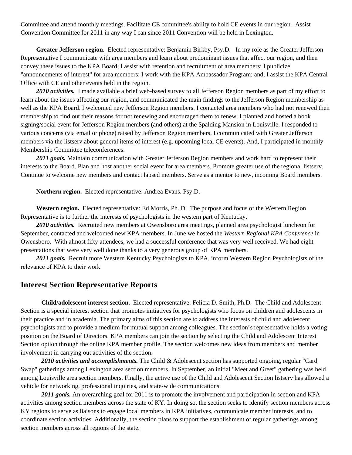Committee and attend monthly meetings. Facilitate CE committee's ability to hold CE events in our region. Assist Convention Committee for 2011 in any way I can since 2011 Convention will be held in Lexington.

**Greater Jefferson region**. Elected representative: Benjamin Birkby, Psy.D. In my role as the Greater Jefferson Representative I communicate with area members and learn about predominant issues that affect our region, and then convey these issues to the KPA Board; I assist with retention and recruitment of area members; I publicize "announcements of interest" for area members; I work with the KPA Ambassador Program; and, I assist the KPA Central Office with CE and other events held in the region.

*2010 activities.* I made available a brief web-based survey to all Jefferson Region members as part of my effort to learn about the issues affecting our region, and communicated the main findings to the Jefferson Region membership as well as the KPA Board. I welcomed new Jefferson Region members. I contacted area members who had not renewed their membership to find out their reasons for not renewing and encouraged them to renew. I planned and hosted a book signing/social event for Jefferson Region members (and others) at the Spalding Mansion in Louisville. I responded to various concerns (via email or phone) raised by Jefferson Region members. I communicated with Greater Jefferson members via the listserv about general items of interest (e.g. upcoming local CE events). And, I participated in monthly Membership Committee teleconferences.

*2011 goals.* Maintain communication with Greater Jefferson Region members and work hard to represent their interests to the Board. Plan and host another social event for area members. Promote greater use of the regional listserv. Continue to welcome new members and contact lapsed members. Serve as a mentor to new, incoming Board members.

**Northern region.** Elected representative: Andrea Evans. Psy.D.

**Western region.** Elected representative: Ed Morris, Ph. D. The purpose and focus of the Western Region Representative is to further the interests of psychologists in the western part of Kentucky.

*2010 activities.* Recruited new members at Owensboro area meetings, planned area psychologist luncheon for September, contacted and welcomed new KPA members. In June we hosted the *Western Regional KPA Conference* in Owensboro. With almost fifty attendees, we had a successful conference that was very well received. We had eight presentations that were very well done thanks to a very generous group of KPA members.

*2011 goals.* Recruit more Western Kentucky Psychologists to KPA, inform Western Region Psychologists of the relevance of KPA to their work.

#### **Interest Section Representative Reports**

**Child/adolescent interest section.** Elected representative: Felicia D. Smith, Ph.D. The Child and Adolescent Section is a special interest section that promotes initiatives for psychologists who focus on children and adolescents in their practice and in academia. The primary aims of this section are to address the interests of child and adolescent psychologists and to provide a medium for mutual support among colleagues. The section's representative holds a voting position on the Board of Directors. KPA members can join the section by selecting the Child and Adolescent Interest Section option through the online KPA member profile. The section welcomes new ideas from members and member involvement in carrying out activities of the section.

*2010 activities and accomplishments.* The Child & Adolescent section has supported ongoing, regular "Card Swap" gatherings among Lexington area section members. In September, an initial "Meet and Greet" gathering was held among Louisville area section members. Finally, the active use of the Child and Adolescent Section listserv has allowed a vehicle for networking, professional inquiries, and state-wide communications.

*2011 goals.* An overarching goal for 2011 is to promote the involvement and participation in section and KPA activities among section members across the state of KY. In doing so, the section seeks to identify section members across KY regions to serve as liaisons to engage local members in KPA initiatives, communicate member interests, and to coordinate section activities. Additionally, the section plans to support the establishment of regular gatherings among section members across all regions of the state.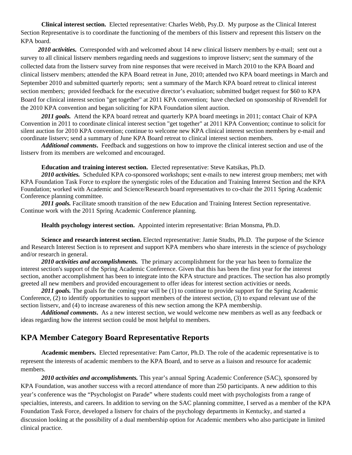**Clinical interest section.** Elected representative: Charles Webb, Psy.D. My purpose as the Clinical Interest Section Representative is to coordinate the functioning of the members of this listserv and represent this listserv on the KPA board.

 *2010 activities.* Corresponded with and welcomed about 14 new clinical listserv members by e-mail; sent out a survey to all clinical listserv members regarding needs and suggestions to improve listserv; sent the summary of the collected data from the listserv survey from nine responses that were received in March 2010 to the KPA Board and clinical listserv members; attended the KPA Board retreat in June, 2010; attended two KPA board meetings in March and September 2010 and submitted quarterly reports; sent a summary of the March KPA board retreat to clinical interest section members; provided feedback for the executive director's evaluation; submitted budget request for \$60 to KPA Board for clinical interest section "get together" at 2011 KPA convention; have checked on sponsorship of Rivendell for the 2010 KPA convention and began soliciting for KPA Foundation silent auction.

*2011 goals.* Attend the KPA board retreat and quarterly KPA board meetings in 2011; contact Chair of KPA Convention in 2011 to coordinate clinical interest section "get together" at 2011 KPA Convention; continue to solicit for silent auction for 2010 KPA convention; continue to welcome new KPA clinical interest section members by e-mail and coordinate listserv; send a summary of June KPA Board retreat to clinical interest section members.

*Additional comments***.** Feedback and suggestions on how to improve the clinical interest section and use of the listserv from its members are welcomed and encouraged.

**Education and training interest section.** Elected representative: Steve Katsikas, Ph.D.

*2010 activities.* Scheduled KPA co-sponsored workshops; sent e-mails to new interest group members; met with KPA Foundation Task Force to explore the synergistic roles of the Education and Training Interest Section and the KPA Foundation; worked with Academic and Science/Research board representatives to co-chair the 2011 Spring Academic Conference planning committee.

*2011 goals.* Facilitate smooth transition of the new Education and Training Interest Section representative. Continue work with the 2011 Spring Academic Conference planning.

**Health psychology interest section.** Appointed interim representative: Brian Monsma, Ph.D.

**Science and research interest section.** Elected representative: Jamie Studts, Ph.D.The purpose of the Science and Research Interest Section is to represent and support KPA members who share interests in the science of psychology and/or research in general.

*2010 activities and accomplishments.* The primary accomplishment for the year has been to formalize the interest section's support of the Spring Academic Conference. Given that this has been the first year for the interest section, another accomplishment has been to integrate into the KPA structure and practices. The section has also promptly greeted all new members and provided encouragement to offer ideas for interest section activities or needs.

2011 goals. The goals for the coming year will be (1) to continue to provide support for the Spring Academic Conference, (2) to identify opportunities to support members of the interest section, (3) to expand relevant use of the section listserv, and (4) to increase awareness of this new section among the KPA membership.

*Additional comments***.** As a new interest section, we would welcome new members as well as any feedback or ideas regarding how the interest section could be most helpful to members.

# **KPA Member Category Board Representative Reports**

**Academic members.** Elected representative: Pam Cartor, Ph.D. The role of the academic representative is to represent the interests of academic members to the KPA Board, and to serve as a liaison and resource for academic members.

*2010 activities and accomplishments.* This year's annual Spring Academic Conference (SAC), sponsored by KPA Foundation, was another success with a record attendance of more than 250 participants. A new addition to this year's conference was the "Psychologist on Parade" where students could meet with psychologists from a range of specialties, interests, and careers. In addition to serving on the SAC planning committee, I served as a member of the KPA Foundation Task Force, developed a listserv for chairs of the psychology departments in Kentucky, and started a discussion looking at the possibility of a dual membership option for Academic members who also participate in limited clinical practice.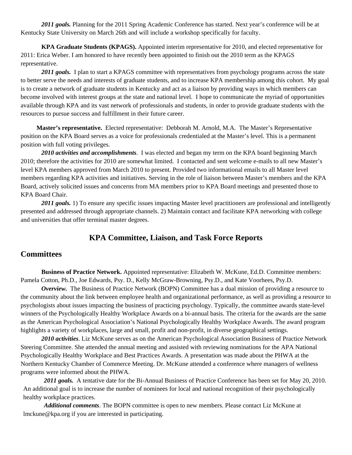*2011 goals.* Planning for the 2011 Spring Academic Conference has started. Next year's conference will be at Kentucky State University on March 26th and will include a workshop specifically for faculty.

**KPA Graduate Students (KPAGS).** Appointed interim representative for 2010, and elected representative for 2011: Erica Weber. I am honored to have recently been appointed to finish out the 2010 term as the KPAGS representative.

*2011 goals.* I plan to start a KPAGS committee with representatives from psychology programs across the state to better serve the needs and interests of graduate students, and to increase KPA membership among this cohort. My goal is to create a network of graduate students in Kentucky and act as a liaison by providing ways in which members can become involved with interest groups at the state and national level. I hope to communicate the myriad of opportunities available through KPA and its vast network of professionals and students, in order to provide graduate students with the resources to pursue success and fulfillment in their future career.

 **Master's representative.** Elected representative: Debborah M. Arnold, M.A. The Master's Representative position on the KPA Board serves as a voice for professionals credentialed at the Master's level. This is a permanent position with full voting privileges.

*2010 activities and accomplishments*. I was elected and began my term on the KPA board beginning March 2010; therefore the activities for 2010 are somewhat limited. I contacted and sent welcome e-mails to all new Master's level KPA members approved from March 2010 to present. Provided two informational emails to all Master level members regarding KPA activities and initiatives. Serving in the role of liaison between Master's members and the KPA Board, actively solicited issues and concerns from MA members prior to KPA Board meetings and presented those to KPA Board Chair.

*2011 goals.* 1) To ensure any specific issues impacting Master level practitioners are professional and intelligently presented and addressed through appropriate channels. 2) Maintain contact and facilitate KPA networking with college and universities that offer terminal master degrees.

# **KPA Committee, Liaison, and Task Force Reports**

# **Committees**

**Business of Practice Network.** Appointed representative: Elizabeth W. McKune, Ed.D. Committee members: Pamela Cotton, Ph.D., Joe Edwards, Psy. D., Kelly McGraw-Browning, Psy.D., and Kate Voorhees, Psy.D.

*Overview.* The Business of Practice Network (BOPN) Committee has a dual mission of providing a resource to the community about the link between employee health and organizational performance, as well as providing a resource to psychologists about issues impacting the business of practicing psychology. Typically, the committee awards state-level winners of the Psychologically Healthy Workplace Awards on a bi-annual basis. The criteria for the awards are the same as the American Psychological Association's National Psychologically Healthy Workplace Awards. The award program highlights a variety of workplaces, large and small, profit and non-profit, in diverse geographical settings.

*2010 activities*. Liz McKune serves as on the American Psychological Association Business of Practice Network Steering Committee. She attended the annual meeting and assisted with reviewing nominations for the APA National Psychologically Healthy Workplace and Best Practices Awards. A presentation was made about the PHWA at the Northern Kentucky Chamber of Commerce Meeting. Dr. McKune attended a conference where managers of wellness programs were informed about the PHWA.

*2011 goals.* A tentative date for the Bi-Annual Business of Practice Conference has been set for May 20, 2010. An additional goal is to increase the number of nominees for local and national recognition of their psychologically healthy workplace practices.

*Additional comments*. The BOPN committee is open to new members. Please contact Liz McKune at lmckune@kpa.org if you are interested in participating.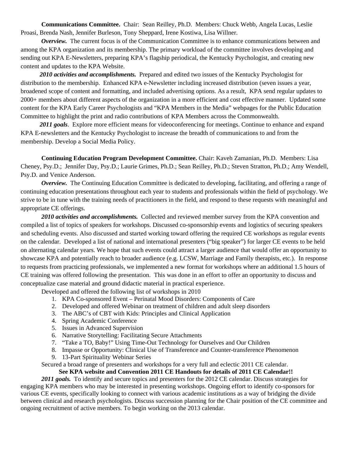**Communications Committee.** Chair:Sean Reilley, Ph.D. Members: Chuck Webb, Angela Lucas, Leslie Proasi, Brenda Nash, Jennifer Burleson, Tony Sheppard, Irene Kostiwa, Lisa Willner.

*Overview.* The current focus is of the Communication Committee is to enhance communications between and among the KPA organization and its membership. The primary workload of the committee involves developing and sending out KPA E-Newsletters, preparing KPA's flagship periodical, the Kentucky Psychologist, and creating new content and updates to the KPA Website.

 *2010 activities and accomplishments.* Prepared and edited two issues of the Kentucky Psychologist for distribution to the membership. Enhanced KPA e-Newsletter including increased distribution (seven issues a year, broadened scope of content and formatting, and included advertising options. As a result, KPA send regular updates to 2000+ members about different aspects of the organization in a more efficient and cost effective manner. Updated some content for the KPA Early Career Psychologists and "KPA Members in the Media" webpages for the Public Education Committee to highlight the print and radio contributions of KPA Members across the Commonwealth.

2011 goals. Explore more efficient means for videoconferencing for meetings. Continue to enhance and expand KPA E-newsletters and the Kentucky Psychologist to increase the breadth of communications to and from the membership. Develop a Social Media Policy.

**Continuing Education Program Development Committee.** Chair: Kaveh Zamanian, Ph.D. Members: Lisa Cheney, Psy.D.; Jennifer Day, Psy.D.; Laurie Grimes, Ph.D.; Sean Reilley, Ph.D.; Steven Stratton, Ph.D.; Amy Wendell, Psy.D. and Venice Anderson.

*Overview.* The Continuing Education Committee is dedicated to developing, facilitating, and offering a range of continuing education presentations throughout each year to students and professionals within the field of psychology. We strive to be in tune with the training needs of practitioners in the field, and respond to these requests with meaningful and appropriate CE offerings.

*2010 activities and accomplishments.*Collected and reviewed member survey from the KPA convention and compiled a list of topics of speakers for workshops. Discussed co-sponsorship events and logistics of securing speakers and scheduling events. Also discussed and started working toward offering the required CE workshops as regular events on the calendar. Developed a list of national and international presenters ("big speaker") for larger CE events to be held on alternating calendar years. We hope that such events could attract a larger audience that would offer an opportunity to showcase KPA and potentially reach to broader audience (e.g. LCSW, Marriage and Family therapists, etc.). In response to requests from practicing professionals, we implemented a new format for workshops where an additional 1.5 hours of CE training was offered following the presentation. This was done in an effort to offer an opportunity to discuss and conceptualize case material and ground didactic material in practical experience.

Developed and offered the following list of workshops in 2010

- 1. KPA Co-sponsored Event Perinatal Mood Disorders: Components of Care
- 2. Developed and offered Webinar on treatment of children and adult sleep disorders
- 3. The ABC's of CBT with Kids: Principles and Clinical Application
- 4. Spring Academic Conference
- 5. Issues in Advanced Supervision
- 6. Narrative Storytelling: Facilitating Secure Attachments
- 7. "Take a TO, Baby!" Using Time-Out Technology for Ourselves and Our Children
- 8. Impasse or Opportunity: Clinical Use of Transference and Counter-transference Phenomenon
- 9. 13-Part Spirituality Webinar Series

Secured a broad range of presenters and workshops for a very full and eclectic 2011 CE calendar.

#### **See KPA website and Convention 2011 CE Handouts for details of 2011 CE Calendar!!**

2011 goals. To identify and secure topics and presenters for the 2012 CE calendar. Discuss strategies for engaging KPA members who may be interested in presenting workshops. Ongoing effort to identify co-sponsors for various CE events, specifically looking to connect with various academic institutions as a way of bridging the divide between clinical and research psychologists. Discuss succession planning for the Chair position of the CE committee and ongoing recruitment of active members. To begin working on the 2013 calendar.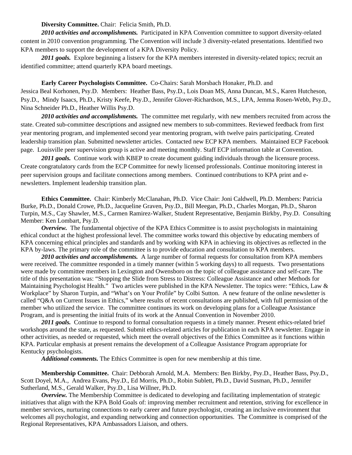#### **Diversity Committee.** Chair: Felicia Smith, Ph.D.

*2010 activities and accomplishments.*Participated in KPA Convention committee to support diversity-related content in 2010 convention programming. The Convention will include 3 diversity-related presentations. Identified two KPA members to support the development of a KPA Diversity Policy.

2011 goals. Explore beginning a listserv for the KPA members interested in diversity-related topics; recruit an identified committee; attend quarterly KPA board meetings.

**Early Career Psychologists Committee.** Co-Chairs: Sarah Morsbach Honaker, Ph.D. and Jessica Beal Korhonen, Psy.D. Members: Heather Bass, Psy.D., Lois Doan MS, Anna Duncan, M.S., Karen Hutcheson, Psy.D., Mindy Isaacs, Ph.D., Kristy Keefe, Psy.D., Jennifer Glover-Richardson, M.S., LPA, Jemma Rosen-Webb, Psy.D., Nina Schneider Ph.D., Heather Willis Psy.D.

2010 activities and accomplishments. The committee met regularly, with new members recruited from across the state. Created sub-committee descriptions and assigned new members to sub-committees. Reviewed feedback from first year mentoring program, and implemented second year mentoring program, with twelve pairs participating. Created leadership transition plan. Submitted newsletter articles. Contacted new ECP KPA members. Maintained ECP Facebook page. Louisville peer supervision group is active and meeting monthly. Staff ECP information table at Convention.

2011 goals. Continue work with KBEP to create document guiding individuals through the licensure process. Create congratulatory cards from the ECP Committee for newly licensed professionals. Continue monitoring interest in peer supervision groups and facilitate connections among members. Continued contributions to KPA print and enewsletters. Implement leadership transition plan.

**Ethics Committee.** Chair: Kimberly McClanahan, Ph.D. Vice Chair: Joni Caldwell, Ph.D. Members: Patricia Burke, Ph.D., Donald Crowe, Ph.D., Jacqueline Graven, Psy.D., Bill Meegan, Ph.D., Charles Morgan, Ph.D., Sharon Turpin, M.S., Cay Shawler, M.S., Carmen Ramirez-Walker, Student Representative, Benjamin Birkby, Psy.D. Consulting Member: Ken Lombart, Psy.D.

*Overview.* The fundamental objective of the KPA Ethics Committee is to assist psychologists in maintaining ethical conduct at the highest professional level. The committee works toward this objective by educating members of KPA concerning ethical principles and standards and by working with KPA in achieving its objectives as reflected in the KPA by-laws. The primary role of the committee is to provide education and consultation to KPA members.

*2010 activities and accomplishments.*A large number of formal requests for consultation from KPA members were received. The committee responded in a timely manner (within 5 working days) to all requests. Two presentations were made by committee members in Lexington and Owensboro on the topic of colleague assistance and self-care. The title of this presentation was: "Stopping the Slide from Stress to Distress: Colleague Assistance and other Methods for Maintaining Psychologist Health." Two articles were published in the KPA Newsletter. The topics were: "Ethics, Law & Workplace" by Sharon Turpin, and "What's on Your Profile" by Colbi Sutton. A new feature of the online newsletter is called "Q&A on Current Issues in Ethics," where results of recent consultations are published, with full permission of the member who utilized the service. The committee continues its work on developing plans for a Colleague Assistance Program, and is presenting the initial fruits of its work at the Annual Convention in November 2010.

2011 goals. Continue to respond to formal consultation requests in a timely manner. Present ethics-related brief workshops around the state, as requested. Submit ethics-related articles for publication in each KPA newsletter. Engage in other activities, as needed or requested, which meet the overall objectives of the Ethics Committee as it functions within KPA. Particular emphasis at present remains the development of a Colleague Assistance Program appropriate for Kentucky psychologists.

*Additional comments.* The Ethics Committee is open for new membership at this time.

**Membership Committee.** Chair: Debborah Arnold, M.A. Members: Ben Birkby, Psy.D., Heather Bass, Psy.D., Scott Doyel, M.A., Andrea Evans, Psy.D., Ed Morris, Ph.D., Robin Sublett, Ph.D., David Susman, Ph.D., Jennifer Sutherland, M.S., Gerald Walker, Psy.D., Lisa Willner, Ph.D.

*Overview.* The Membership Committee is dedicated to developing and facilitating implementation of strategic initiatives that align with the KPA Bold Goals of: improving member recruitment and retention, striving for excellence in member services, nurturing connections to early career and future psychologist, creating an inclusive environment that welcomes all psychologist, and expanding networking and connection opportunities. The Committee is comprised of the Regional Representatives, KPA Ambassadors Liaison, and others.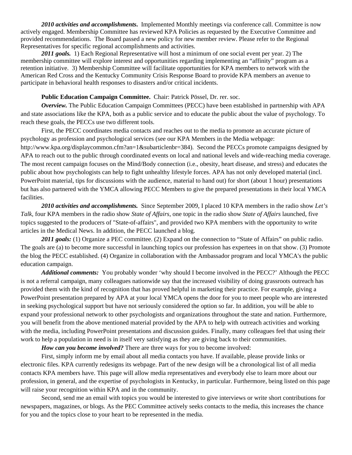*2010 activities and accomplishments***.** Implemented Monthly meetings via conference call. Committee is now actively engaged. Membership Committee has reviewed KPA Policies as requested by the Executive Committee and provided recommendations. The Board passed a new policy for new member review. Please refer to the Regional Representatives for specific regional accomplishments and activities.

*2011 goals.* 1) Each Regional Representative will host a minimum of one social event per year. 2) The membership committee will explore interest and opportunities regarding implementing an "affinity" program as a retention initiative. 3) Membership Committee will facilitate opportunities for KPA members to network with the American Red Cross and the Kentucky Community Crisis Response Board to provide KPA members an avenue to participate in behavioral health responses to disasters and/or critical incidents.

#### **Public Education Campaign Committee.** Chair: Patrick Pössel, Dr. rer. soc.

*Overview.* The Public Education Campaign Committees (PECC) have been established in partnership with APA and state associations like the KPA, both as a public service and to educate the public about the value of psychology. To reach these goals, the PECCs use two different tools.

First, the PECC coordinates media contacts and reaches out to the media to promote an accurate picture of psychology as profession and psychological services (see our KPA Members in the Media webpage:

http://www.kpa.org/displaycommon.cfm?an=1&subarticlenbr=384). Second the PECCs promote campaigns designed by APA to reach out to the public through coordinated events on local and national levels and wide-reaching media coverage. The most recent campaign focuses on the Mind/Body connection (i.e., obesity, heart disease, and stress) and educates the public about how psychologists can help to fight unhealthy lifestyle forces. APA has not only developed material (incl. PowerPoint material, tips for discussions with the audience, material to hand out) for short (about 1 hour) presentations but has also partnered with the YMCA allowing PECC Members to give the prepared presentations in their local YMCA facilities.

*2010 activities and accomplishments.*Since September 2009, I placed 10 KPA members in the radio show *Let's Talk,* four KPA members in the radio show *State of Affairs*, one topic in the radio show *State of Affairs* launched, five topics suggested to the producers of "State-of-affairs", and provided two KPA members with the opportunity to write articles in the Medical News. In addition, the PECC launched a blog.

2011 goals: (1) Organize a PEC committee. (2) Expand on the connection to "State of Affairs" on public radio. The goals are (a) to become more successful in launching topics our profession has expertees in on that show. (3) Promote the blog the PECC established. (4) Organize in collaboration with the Ambassador program and local YMCA's the public education campaign.

*Additional comments:* You probably wonder 'why should I become involved in the PECC?' Although the PECC is not a referral campaign, many colleagues nationwide say that the increased visibility of doing grassroots outreach has provided them with the kind of recognition that has proved helpful in marketing their practice. For example, giving a PowerPoint presentation prepared by APA at your local YMCA opens the door for you to meet people who are interested in seeking psychological support but have not seriously considered the option so far. In addition, you will be able to expand your professional network to other psychologists and organizations throughout the state and nation. Furthermore, you will benefit from the above mentioned material provided by the APA to help with outreach activities and working with the media, including PowerPoint presentations and discussion guides. Finally, many colleagues feel that using their work to help a population in need is in itself very satisfying as they are giving back to their communities.

*How can you become involved?* There are three ways for you to become involved:

First, simply inform me by email about all media contacts you have. If available, please provide links or electronic files. KPA currently redesigns its webpage. Part of the new design will be a chronological list of all media contacts KPA members have. This page will allow media representatives and everybody else to learn more about our profession, in general, and the expertise of psychologists in Kentucky, in particular. Furthermore, being listed on this page will raise your recognition within KPA and in the community.

Second, send me an email with topics you would be interested to give interviews or write short contributions for newspapers, magazines, or blogs. As the PEC Committee actively seeks contacts to the media, this increases the chance for you and the topics close to your heart to be represented in the media.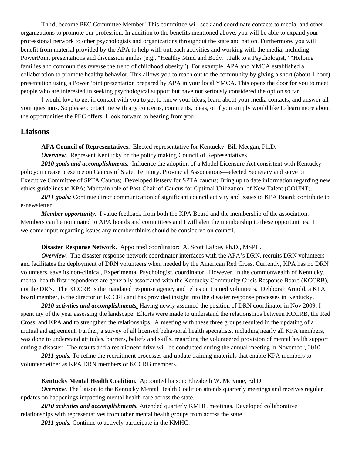Third, become PEC Committee Member! This committee will seek and coordinate contacts to media, and other organizations to promote our profession. In addition to the benefits mentioned above, you will be able to expand your professional network to other psychologists and organizations throughout the state and nation. Furthermore, you will benefit from material provided by the APA to help with outreach activities and working with the media, including PowerPoint presentations and discussion guides (e.g., "Healthy Mind and Body…Talk to a Psychologist," "Helping families and communities reverse the trend of childhood obesity"). For example, APA and YMCA established a collaboration to promote healthy behavior. This allows you to reach out to the community by giving a short (about 1 hour) presentation using a PowerPoint presentation prepared by APA in your local YMCA. This opens the door for you to meet people who are interested in seeking psychological support but have not seriously considered the option so far.

I would love to get in contact with you to get to know your ideas, learn about your media contacts, and answer all your questions. So please contact me with any concerns, comments, ideas, or if you simply would like to learn more about the opportunities the PEC offers. I look forward to hearing from you!

#### **Liaisons**

**APA Council of Representatives.** Elected representative for Kentucky: Bill Meegan, Ph.D.

*Overview.* Represent Kentucky on the policy making Council of Representatives.

*2010 goals and accomplishments.* Influence the adoption of a Model Licensure Act consistent with Kentucky policy; increase presence on Caucus of State, Territory, Provincial Associations—elected Secretary and serve on Executive Committee of SPTA Caucus; Developed listserv for SPTA caucus; Bring up to date information regarding new ethics guidelines to KPA; Maintain role of Past-Chair of Caucus for Optimal Utilization of New Talent (COUNT).

*2011 goals:* Continue direct communication of significant council activity and issues to KPA Board; contribute to e-newsletter.

*Member opportunity.* I value feedback from both the KPA Board and the membership of the association. Members can be nominated to APA boards and committees and I will alert the membership to these opportunities. I welcome input regarding issues any member thinks should be considered on council.

#### **Disaster Response Network.** Appointed coordinator**:** A. Scott LaJoie, Ph.D., MSPH.

*Overview.* The disaster response network coordinator interfaces with the APA's DRN, recruits DRN volunteers and facilitates the deployment of DRN volunteers when needed by the American Red Cross. Currently, KPA has no DRN volunteers, save its non-clinical, Experimental Psychologist, coordinator. However, in the commonwealth of Kentucky, mental health first respondents are generally associated with the Kentucky Community Crisis Response Board (KCCRB), not the DRN.The KCCRB is the mandated response agency and relies on trained volunteers. Debborah Arnold, a KPA board member, is the director of KCCRB and has provided insight into the disaster response processes in Kentucky.

*2010 activities and accomplishments.* Having newly assumed the position of DRN coordinator in Nov 2009, I spent my of the year assessing the landscape. Efforts were made to understand the relationships between KCCRB, the Red Cross, and KPA and to strengthen the relationships. A meeting with these three groups resulted in the updating of a mutual aid agreement. Further, a survey of all licensed behavioral health specialists, including nearly all KPA members, was done to understand attitudes, barriers, beliefs and skills, regarding the volunteered provision of mental health support during a disaster. The results and a recruitment drive will be conducted during the annual meeting in November, 2010.

2011 goals. To refine the recruitment processes and update training materials that enable KPA members to volunteer either as KPA DRN members or KCCRB members.

#### **Kentucky Mental Health Coalition.** Appointed liaison: Elizabeth W. McKune, Ed.D.

*Overview.* The liaison to the Kentucky Mental Health Coalition attends quarterly meetings and receives regular updates on happenings impacting mental health care across the state.

*2010 activities and accomplishments.* Attended quarterly KMHC meetings. Developed collaborative relationships with representatives from other mental health groups from across the state.

*2011 goals.* Continue to actively participate in the KMHC.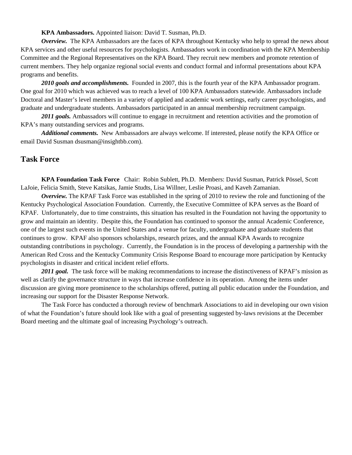#### **KPA Ambassadors.** Appointed liaison: David T. Susman, Ph.D.

*Overview.* The KPA Ambassadors are the faces of KPA throughout Kentucky who help to spread the news about KPA services and other useful resources for psychologists. Ambassadors work in coordination with the KPA Membership Committee and the Regional Representatives on the KPA Board. They recruit new members and promote retention of current members. They help organize regional social events and conduct formal and informal presentations about KPA programs and benefits.

*2010 goals and accomplishments.* Founded in 2007, this is the fourth year of the KPA Ambassador program. One goal for 2010 which was achieved was to reach a level of 100 KPA Ambassadors statewide. Ambassadors include Doctoral and Master's level members in a variety of applied and academic work settings, early career psychologists, and graduate and undergraduate students. Ambassadors participated in an annual membership recruitment campaign.

*2011 goals.* Ambassadors will continue to engage in recruitment and retention activities and the promotion of KPA's many outstanding services and programs.

*Additional comments.* New Ambassadors are always welcome. If interested, please notify the KPA Office or email David Susman dsusman@insightbb.com).

# **Task Force**

**KPA Foundation Task Force** Chair: Robin Sublett, Ph.D. Members: David Susman, Patrick Pössel, Scott LaJoie, Felicia Smith, Steve Katsikas, Jamie Studts, Lisa Willner, Leslie Proasi, and Kaveh Zamanian.

*Overview.* The KPAF Task Force was established in the spring of 2010 to review the role and functioning of the Kentucky Psychological Association Foundation. Currently, the Executive Committee of KPA serves as the Board of KPAF. Unfortunately, due to time constraints, this situation has resulted in the Foundation not having the opportunity to grow and maintain an identity. Despite this, the Foundation has continued to sponsor the annual Academic Conference, one of the largest such events in the United States and a venue for faculty, undergraduate and graduate students that continues to grow. KPAF also sponsors scholarships, research prizes, and the annual KPA Awards to recognize outstanding contributions in psychology. Currently, the Foundation is in the process of developing a partnership with the American Red Cross and the Kentucky Community Crisis Response Board to encourage more participation by Kentucky psychologists in disaster and critical incident relief efforts.

2011 goal. The task force will be making recommendations to increase the distinctiveness of KPAF's mission as well as clarify the governance structure in ways that increase confidence in its operation. Among the items under discussion are giving more prominence to the scholarships offered, putting all public education under the Foundation, and increasing our support for the Disaster Response Network.

The Task Force has conducted a thorough review of benchmark Associations to aid in developing our own vision of what the Foundation's future should look like with a goal of presenting suggested by-laws revisions at the December Board meeting and the ultimate goal of increasing Psychology's outreach.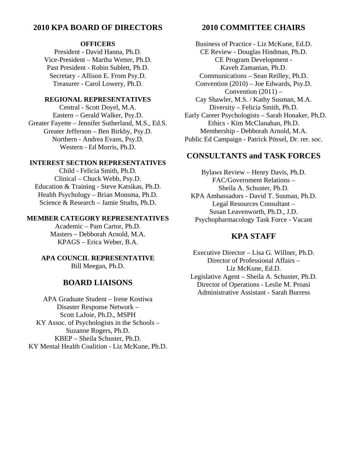# **2010 KPA BOARD OF DIRECTORS**

#### **OFFICERS**

President - David Hanna, Ph.D. Vice-President – Martha Wetter, Ph.D. Past President - Robin Sublett, Ph.D. Secretary - Allison E. From Psy.D. Treasurer - Carol Lowery, Ph.D.

#### **REGIONAL REPRESENTATIVES**

Central - Scott Doyel, M.A. Eastern – Gerald Walker, Psy.D. Greater Fayette – Jennifer Sutherland, M.S., Ed.S. Greater Jefferson – Ben Birkby, Psy.D. Northern - Andrea Evans, Psy.D. Western - Ed Morris, Ph.D.

#### **INTEREST SECTION REPRESENTATIVES**

Child - Felicia Smith, Ph.D. Clinical – Chuck Webb, Psy.D. Education & Training - Steve Katsikas, Ph.D. Health Psychology – Brian Monsma, Ph.D. Science & Research – Jamie Studts, Ph.D.

#### **MEMBER CATEGORY REPRESENTATIVES**

Academic – Pam Cartor, Ph.D. Masters – Debborah Arnold, M.A. KPAGS – Erica Weber, B.A.

#### **APA COUNCIL REPRESENTATIVE**  Bill Meegan, Ph.D.

# **BOARD LIAISONS**

APA Graduate Student – Irene Kostiwa Disaster Response Network – Scott LaJoie, Ph.D., MSPH KY Assoc. of Psychologists in the Schools – Suzanne Rogers, Ph.D. KBEP – Sheila Schuster, Ph.D. KY Mental Health Coalition - Liz McKune, Ph.D.

# **2010 COMMITTEE CHAIRS**

Business of Practice - Liz McKune, Ed.D. CE Review - Douglas Hindman, Ph.D. CE Program Development - Kaveh Zamanian, Ph.D. Communications – Sean Reilley, Ph.D. Convention (2010) – Joe Edwards, Psy.D. Convention  $(2011)$  – Cay Shawler, M.S. / Kathy Susman, M.A. Diversity – Felicia Smith, Ph.D. Early Career Psychologists – Sarah Honaker, Ph.D. Ethics - Kim McClanahan, Ph.D. Membership - Debborah Arnold, M.A. Public Ed Campaign - Patrick Pössel, Dr. rer. soc.

# **CONSULTANTS and TASK FORCES**

Bylaws Review – Henry Davis, Ph.D. FAC/Government Relations – Sheila A. Schuster, Ph.D. KPA Ambassadors - David T. Susman, Ph.D. Legal Resources Consultant – Susan Leavenworth, Ph.D., J.D. Psychopharmacology Task Force - Vacant

# **KPA STAFF**

Executive Director – Lisa G. Willner, Ph.D. Director of Professional Affairs – Liz McKune, Ed.D. Legislative Agent – Sheila A. Schuster, Ph.D. Director of Operations - Leslie M. Proasi Administrative Assistant - Sarah Burress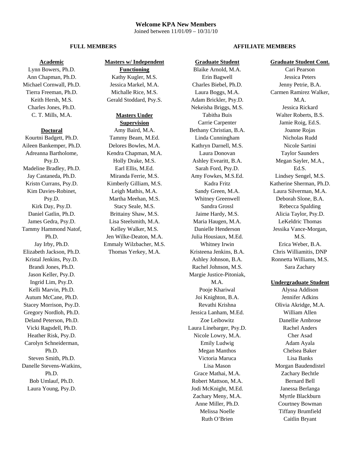#### **Welcome KPA New Members**  Joined between 11/01/09 – 10/31/10

#### **Academic**

Lynn Bowers, Ph.D. Ann Chapman, Ph.D. Michael Cornwall, Ph.D. Tierra Freeman, Ph.D. Keith Hersh, M.S. Charles Jones, Ph.D. C. T. Mills, M.A.

#### **Doctoral**

Kourtni Badgett, Ph.D. Aileen Bankemper, Ph.D. Adreanna Bartholome, Psy.D. Madeline Bradley, Ph.D. Jay Castaneda, Ph.D. Kristn Currans, Psy.D. Kim Davies-Robinet, Psy.D. Kirk Day, Psy.D. Daniel Gatlin, Ph.D. James Gedra, Psy.D. Tammy Hammond Natof, Ph.D. Jay Irby, Ph.D. Elizabeth Jackson, Ph.D. Kristal Jenkins, Psy.D. Brandi Jones, Ph.D. Jason Keller, Psy.D. Ingrid Lim, Psy.D. Kelli Marvin, Ph.D. Autum McCane, Ph.D. Stacey Morrison, Psy.D. Gregory Nordloh, Ph.D. Deland Peterson, Ph.D. Vicki Ragsdell, Ph.D. Heather Risk, Psy.D. Carolyn Schneiderman, Ph.D. Steven Smith, Ph.D. Danelle Stevens-Watkins, Ph.D. Bob Umlauf, Ph.D. Laura Young, Psy.D.

#### **Masters w/ Independent**

**Functioning** Kathy Kugler, M.S. Jessica Markel, M.A. Michalle Rice, M.S. Gerald Stoddard, Psy.S.

# **Masters Under**

**Supervision** Amy Baird, M.A. Tammy Beam, M.Ed. Delores Bowles, M.A. Kendra Chapman, M.A. Holly Drake, M.S. Earl Ellis, M.Ed. Miranda Ferrie, M.S. Kimberly Gilliam, M.S. Leigh Mathis, M.A. Martha Meehan, M.S. Stacy Seale, M.S. Brittainy Shaw, M.S. Lisa Steelsmith, M.A. Kelley Walker, M.S. Jen Wilke-Deaton, M.A. Emmaly Wilzbacher, M.S. Thomas Yerkey, M.A.

Blaike Arnold, M.A. Erin Bagwell Charles Biebel, Ph.D. Laura Boggs, M.A. Adam Brickler, Psy.D. Nekeisha Briggs, M.S. Tabitha Buis Carrie Carpenter Bethany Christian, B.A. Linda Cunningham Kathryn Darnell, M.S. Laura Donovan Ashley Evearitt, B.A. Sarah Ford, Psy.D. Amy Fowkes, M.S.Ed. Kadra Fritz Sandy Green, M.A. Whitney Greenwell Sandra Grossl Jaime Hardy, M.S. Maria Haugen, M.A. Danielle Henderson Julia Housiaux, M.Ed. Whitney Irwin Kristeena Jenkins, B.A. Ashley Johnson, B.A. Rachel Johnson, M.S. Margie Justice-Pitoniak, M.A. Pooje Khariwal Joi Knighton, B.A. Revathi Krishna Jessica Lanham, M.Ed. Zoe Leibowitz Laura Linebarger, Psy.D. Nicole Lowry, M.A. Emily Ludwig Megan Manthos Victoria Maruca Lisa Mason Grace Mathai, M.A. Robert Mattson, M.A. Jodi McKnight, M.Ed. Zachary Meny, M.A. Anne Miller, Ph.D. Melissa Noelle Ruth O'Brien

**Graduate Student**

#### **FULL MEMBERS** AFFILIATE MEMBERS

#### **Graduate Student Cont.**

Cari Pearson Jessica Peters Jenny Petrie, B.A. Carmen Ramirez Walker, M A Jessica Rickard Walter Roberts, B.S. Jamie Roig, Ed.S. Joanne Rojas Nicholas Rudd Nicole Sartini Taylor Saunders Megan Sayler, M.A., Ed.S. Lindsey Sengel, M.S. Katherine Sherman, Ph.D. Laura Silverman, M.A. Deborah Slone, B.A. Rebecca Spalding Alicia Taylor, Psy.D. LeKeldric Thomas Jessika Vance-Morgan, M.S. Erica Weber, B.A. Chris Williamitis, DNP Ronnetta Williams, M.S. Sara Zachary

#### **Undergraduate Student**

Alyssa Addison Jennifer Adkins Olivia Akridge, M.A. William Allen Danellie Ambrose Rachel Anders Cher Asad Adam Ayala Chelsea Baker Lisa Banks Morgan Baudendistel Zachary Bechtle Bernard Bell Janessa Berlanga Myrtle Blackburn Courtney Bowman Tiffany Brumfield Caitlin Bryant